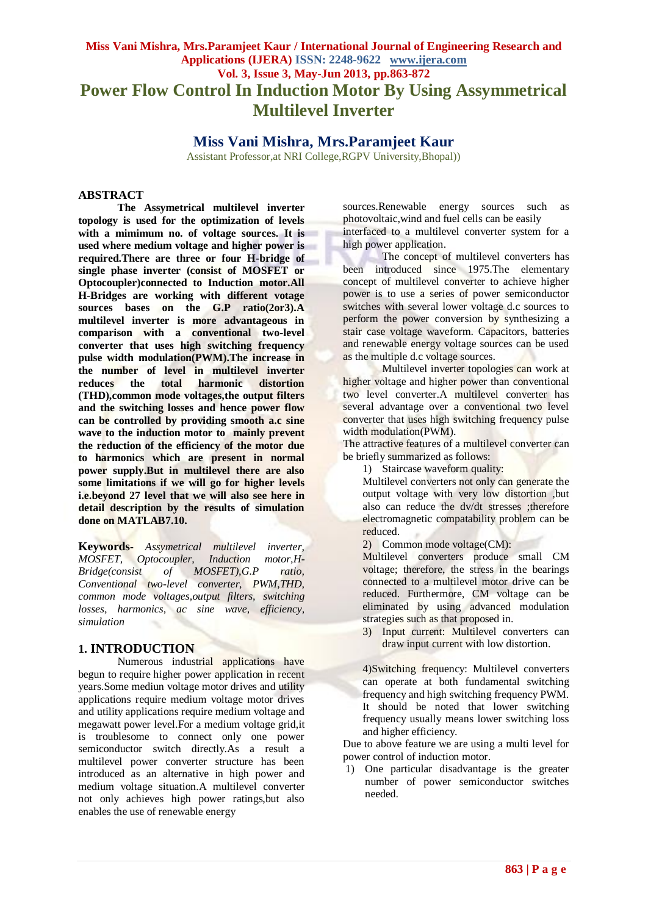# **Miss Vani Mishra, Mrs.Paramjeet Kaur / International Journal of Engineering Research and Applications (IJERA) ISSN: 2248-9622 www.ijera.com Vol. 3, Issue 3, May-Jun 2013, pp.863-872 Power Flow Control In Induction Motor By Using Assymmetrical Multilevel Inverter**

# **Miss Vani Mishra, Mrs.Paramjeet Kaur**

Assistant Professor,at NRI College,RGPV University,Bhopal))

#### **ABSTRACT**

**The Assymetrical multilevel inverter topology is used for the optimization of levels with a mimimum no. of voltage sources. It is used where medium voltage and higher power is required.There are three or four H-bridge of single phase inverter (consist of MOSFET or Optocoupler)connected to Induction motor.All H-Bridges are working with different votage sources bases on the G.P ratio(2or3).A multilevel inverter is more advantageous in comparison with a conventional two-level converter that uses high switching frequency pulse width modulation(PWM).The increase in the number of level in multilevel inverter reduces the total harmonic distortion (THD),common mode voltages,the output filters and the switching losses and hence power flow can be controlled by providing smooth a.c sine wave to the induction motor to mainly prevent the reduction of the efficiency of the motor due to harmonics which are present in normal power supply.But in multilevel there are also some limitations if we will go for higher levels i.e.beyond 27 level that we will also see here in detail description by the results of simulation done on MATLAB7.10.**

**Keywords-** *Assymetrical multilevel inverter, MOSFET, Optocoupler, Induction motor,H-Bridge(consist of MOSFET),G.P ratio, Conventional two-level converter, PWM,THD, common mode voltages,output filters, switching losses, harmonics, ac sine wave, efficiency, simulation*

## **1. INTRODUCTION**

Numerous industrial applications have begun to require higher power application in recent years.Some mediun voltage motor drives and utility applications require medium voltage motor drives and utility applications require medium voltage and megawatt power level.For a medium voltage grid,it is troublesome to connect only one power semiconductor switch directly.As a result a multilevel power converter structure has been introduced as an alternative in high power and medium voltage situation.A multilevel converter not only achieves high power ratings,but also enables the use of renewable energy

sources.Renewable energy sources such as photovoltaic,wind and fuel cells can be easily interfaced to a multilevel converter system for a high power application.

The concept of multilevel converters has been introduced since 1975.The elementary concept of multilevel converter to achieve higher power is to use a series of power semiconductor switches with several lower voltage d.c sources to perform the power conversion by synthesizing a stair case voltage waveform. Capacitors, batteries and renewable energy voltage sources can be used as the multiple d.c voltage sources.

Multilevel inverter topologies can work at higher voltage and higher power than conventional two level converter.A multilevel converter has several advantage over a conventional two level converter that uses high switching frequency pulse width modulation(PWM).

The attractive features of a multilevel converter can be briefly summarized as follows:

1) Staircase waveform quality:

Multilevel converters not only can generate the output voltage with very low distortion ,but also can reduce the dv/dt stresses ;therefore electromagnetic compatability problem can be reduced.

2) Common mode voltage(CM):

Multilevel converters produce small CM voltage; therefore, the stress in the bearings connected to a multilevel motor drive can be reduced. Furthermore, CM voltage can be eliminated by using advanced modulation strategies such as that proposed in.

3) Input current: Multilevel converters can draw input current with low distortion.

4)Switching frequency: Multilevel converters can operate at both fundamental switching frequency and high switching frequency PWM. It should be noted that lower switching frequency usually means lower switching loss and higher efficiency.

Due to above feature we are using a multi level for power control of induction motor.

1) One particular disadvantage is the greater number of power semiconductor switches needed.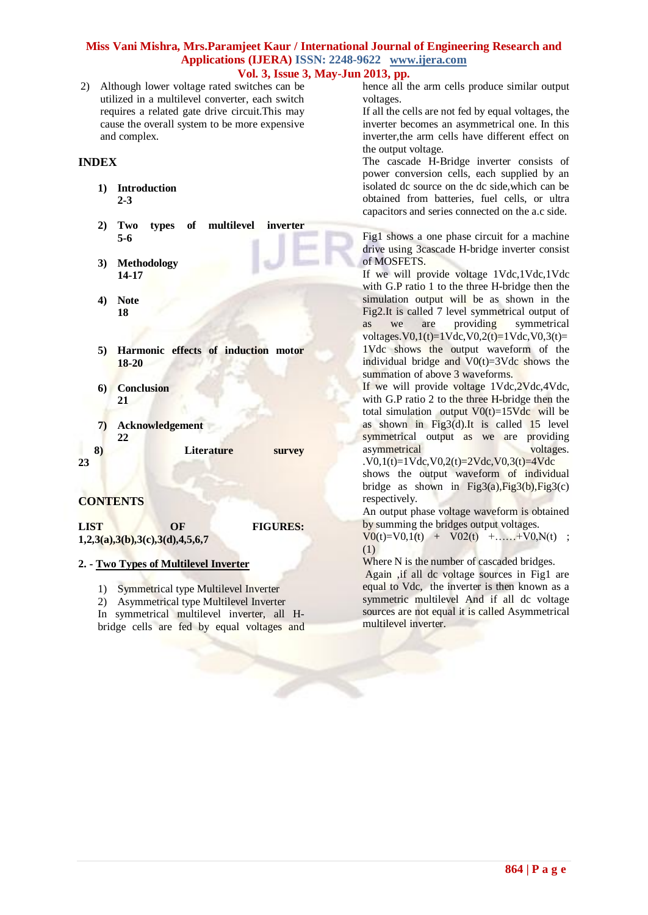2) Although lower voltage rated switches can be utilized in a multilevel converter, each switch requires a related gate drive circuit.This may cause the overall system to be more expensive and complex.

### **INDEX**

- **1) Introduction 2-3**
- **2) Two types of multilevel inverter 5-6**
- **3) Methodology 14-17**
- **4) Note 18**
- **5) Harmonic effects of induction motor 18-20**
- **6) Conclusion 21**
- **7) Acknowledgement 22 8)** Literature survey

#### **23**

## **CONTENTS**

LIST OF FIGURES: **1,2,3(a),3(b),3(c),3(d),4,5,6,7** 

### **2. - Two Types of Multilevel Inverter**

1) Symmetrical type Multilevel Inverter

2) Asymmetrical type Multilevel Inverter In symmetrical multilevel inverter, all Hbridge cells are fed by equal voltages and hence all the arm cells produce similar output voltages.

If all the cells are not fed by equal voltages, the inverter becomes an asymmetrical one. In this inverter,the arm cells have different effect on the output voltage.

The cascade H-Bridge inverter consists of power conversion cells, each supplied by an isolated dc source on the dc side,which can be obtained from batteries, fuel cells, or ultra capacitors and series connected on the a.c side.

Fig1 shows a one phase circuit for a machine drive using 3cascade H-bridge inverter consist of MOSFETS.

If we will provide voltage 1Vdc,1Vdc,1Vdc with G.P ratio 1 to the three H-bridge then the simulation output will be as shown in the Fig2.It is called 7 level symmetrical output of as we are providing symmetrical voltages.  $V0,1(t)=1$ Vdc,  $V0,2(t)=1$ Vdc,  $V0,3(t)=$ 1Vdc shows the output waveform of the individual bridge and  $V0(t)=3Vdc$  shows the summation of above 3 waveforms.

If we will provide voltage 1Vdc, 2Vdc, 4Vdc, with G.P ratio 2 to the three H-bridge then the total simulation output  $V0(t)=15Vdc$  will be as shown in Fig3(d).It is called  $15$  level symmetrical output as we are providing<br>asymmetrical voltages. asymmetrical

 $V0,1(t)=1Vdc$ ,  $V0,2(t)=2Vdc$ ,  $V0,3(t)=4Vdc$ shows the output waveform of individual bridge as shown in Fig3(a), Fig3(b), Fig3(c) respectively.

An output phase voltage waveform is obtained by summing the bridges output voltages.

 $V0(t)=V0,1(t) + V02(t) + \ldots + V0, N(t)$ ; (1)

Where N is the number of cascaded bridges.

Again ,if all dc voltage sources in Fig1 are equal to Vdc, the inverter is then known as a symmetric multilevel And if all dc voltage sources are not equal it is called Asymmetrical multilevel inverter.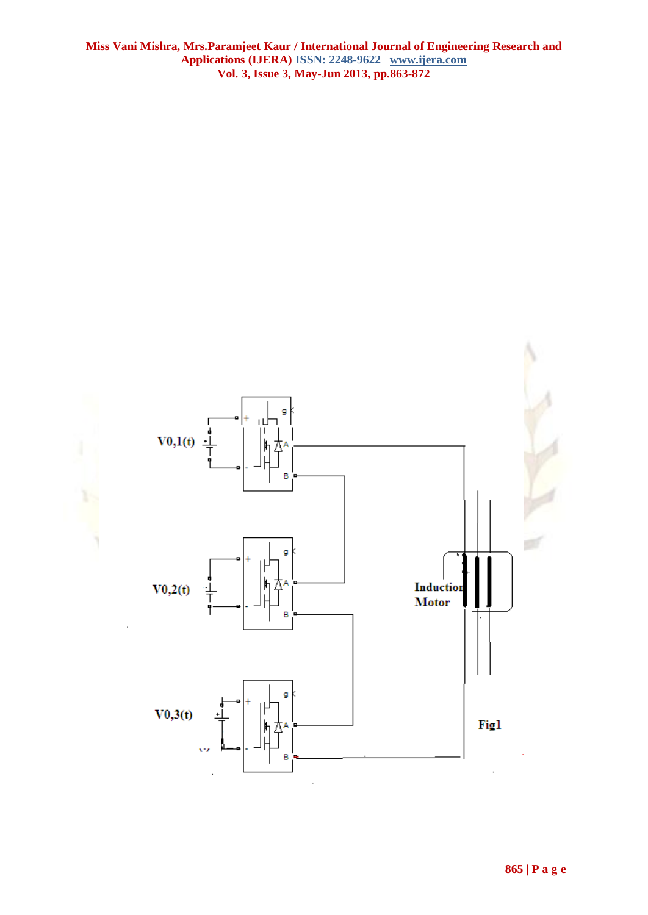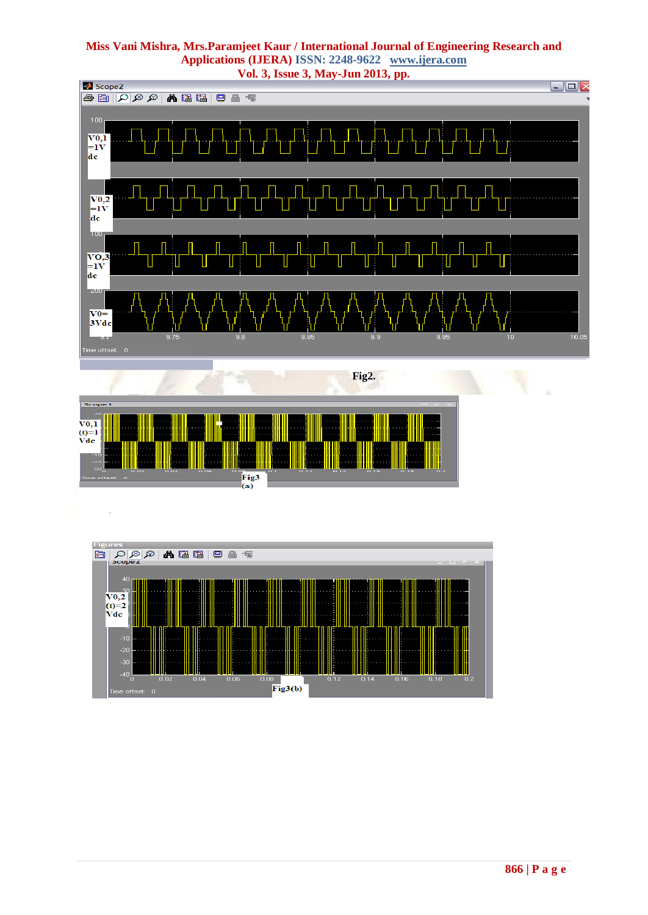

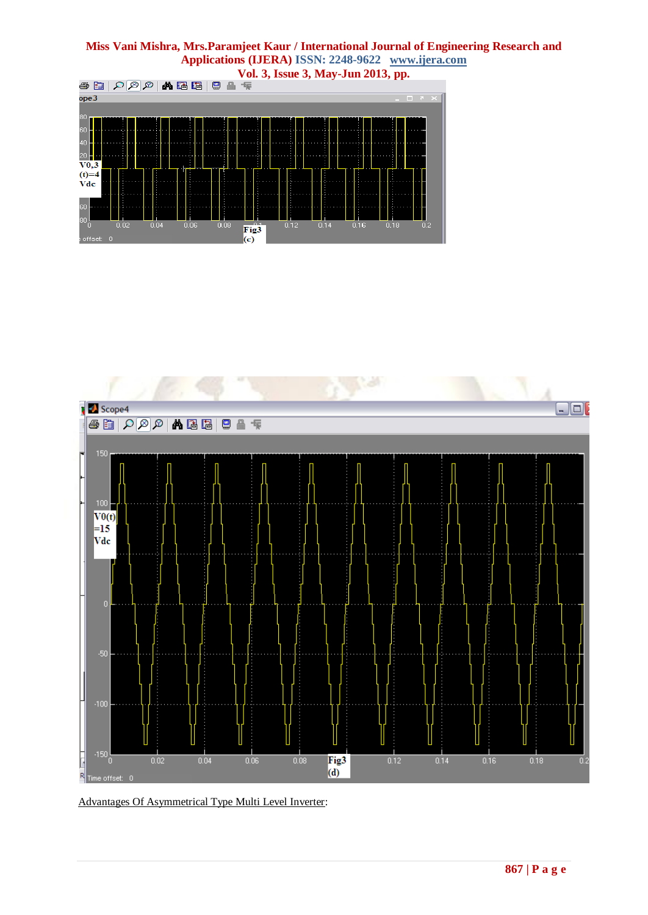## **Miss Vani Mishra, Mrs.Paramjeet Kaur / International Journal of Engineering Research and Applications (IJERA) ISSN: 2248-9622 www.ijera.com**





Advantages Of Asymmetrical Type Multi Level Inverter: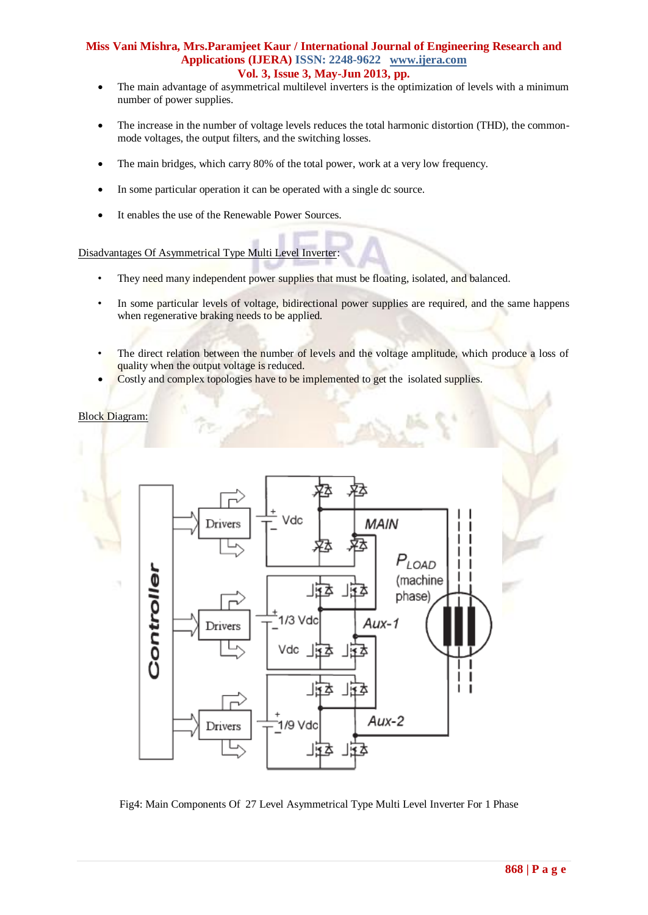- The main advantage of asymmetrical multilevel inverters is the optimization of levels with a minimum number of power supplies.
- The increase in the number of voltage levels reduces the total harmonic distortion (THD), the commonmode voltages, the output filters, and the switching losses.
- The main bridges, which carry 80% of the total power, work at a very low frequency.
- In some particular operation it can be operated with a single dc source.
- It enables the use of the Renewable Power Sources.

#### Disadvantages Of Asymmetrical Type Multi Level Inverter:

- They need many independent power supplies that must be floating, isolated, and balanced.
- In some particular levels of voltage, bidirectional power supplies are required, and the same happens when regenerative braking needs to be applied.
- The direct relation between the number of levels and the voltage amplitude, which produce a loss of quality when the output voltage is reduced.
- Costly and complex topologies have to be implemented to get the isolated supplies.

Block Diagram:



Fig4: Main Components Of 27 Level Asymmetrical Type Multi Level Inverter For 1 Phase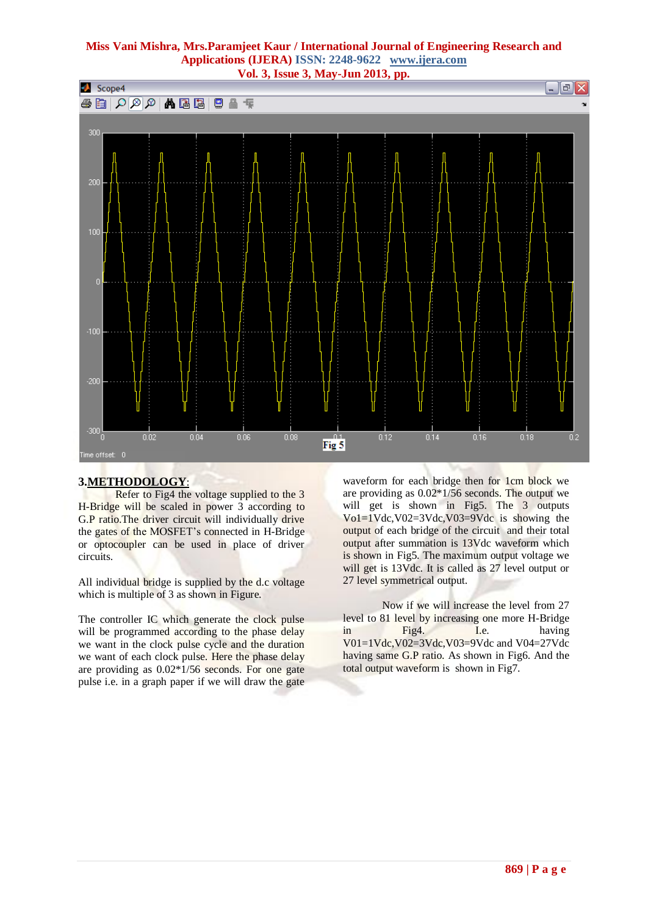

### **3.METHODOLOGY**:

Refer to Fig4 the voltage supplied to the 3 H-Bridge will be scaled in power 3 according to G.P ratio.The driver circuit will individually drive the gates of the MOSFET's connected in H-Bridge or optocoupler can be used in place of driver circuits.

All individual bridge is supplied by the d.c voltage which is multiple of 3 as shown in Figure.

The controller IC which generate the clock pulse will be programmed according to the phase delay we want in the clock pulse cycle and the duration we want of each clock pulse. Here the phase delay are providing as 0.02\*1/56 seconds. For one gate pulse i.e. in a graph paper if we will draw the gate

waveform for each bridge then for 1cm block we are providing as 0.02\*1/56 seconds. The output we will get is shown in Fig5. The 3 outputs Vo1=1Vdc,V02=3Vdc,V03=9Vdc is showing the output of each bridge of the circuit and their total output after summation is 13Vdc waveform which is shown in Fig5. The maximum output voltage we will get is 13Vdc. It is called as 27 level output or 27 level symmetrical output.

Now if we will increase the level from 27 level to 81 level by increasing one more H-Bridge in Fig4. I.e. having V01=1Vdc,V02=3Vdc,V03=9Vdc and V04=27Vdc having same G.P ratio. As shown in Fig6. And the total output waveform is shown in Fig7.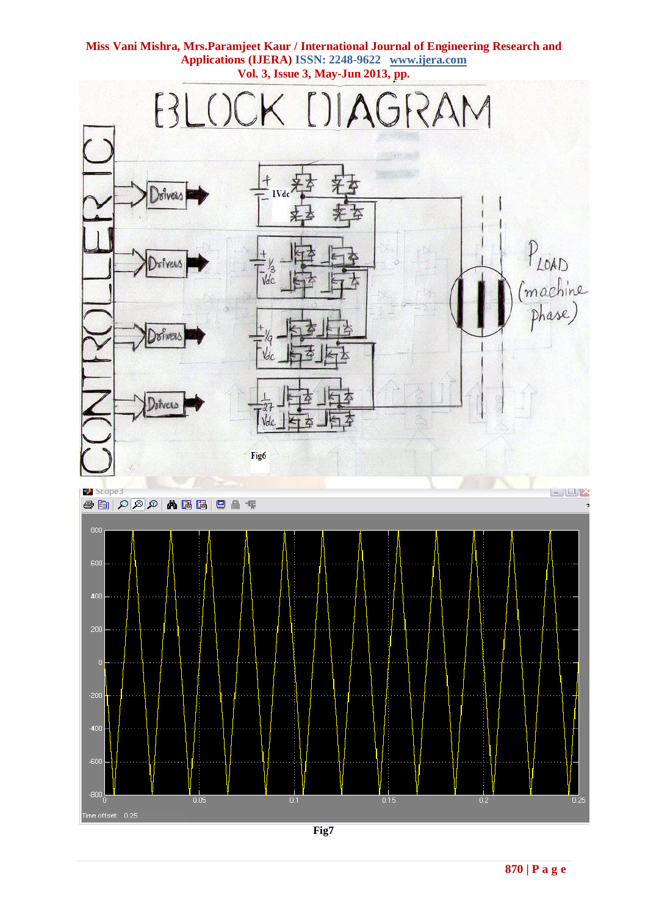

**Fig7**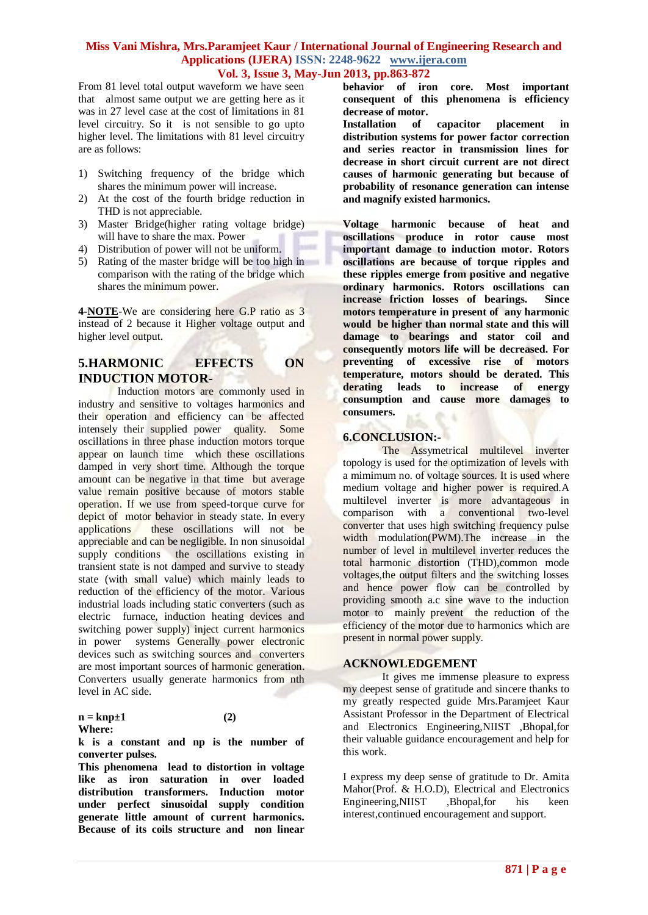From 81 level total output waveform we have seen that almost same output we are getting here as it was in 27 level case at the cost of limitations in 81 level circuitry. So it is not sensible to go upto higher level. The limitations with 81 level circuitry are as follows:

- 1) Switching frequency of the bridge which shares the minimum power will increase.
- 2) At the cost of the fourth bridge reduction in THD is not appreciable.
- 3) Master Bridge(higher rating voltage bridge) will have to share the max. Power
- 4) Distribution of power will not be uniform.
- 5) Rating of the master bridge will be too high in comparison with the rating of the bridge which shares the minimum power.

**4-NOTE**-We are considering here G.P ratio as 3 instead of 2 because it Higher voltage output and higher level output.

## **5.HARMONIC EFFECTS ON INDUCTION MOTOR-**

Induction motors are commonly used in industry and sensitive to voltages harmonics and their operation and efficiency can be affected intensely their supplied power quality. Some oscillations in three phase induction motors torque appear on launch time which these oscillations damped in very short time. Although the torque amount can be negative in that time but average value remain positive because of motors stable operation. If we use from speed-torque curve for depict of motor behavior in steady state. In every applications these oscillations will not be these oscillations will not be appreciable and can be negligible. In non sinusoidal supply conditions the oscillations existing in transient state is not damped and survive to steady state (with small value) which mainly leads to reduction of the efficiency of the motor. Various industrial loads including static converters (such as electric furnace, induction heating devices and switching power supply) inject current harmonics in power systems Generally power electronic devices such as switching sources and converters are most important sources of harmonic generation. Converters usually generate harmonics from nth level in AC side.

#### $n = knp \pm 1$  (2) **Where:**

**k is a constant and np is the number of converter pulses.** 

**This phenomena lead to distortion in voltage like as iron saturation in over loaded distribution transformers. Induction motor under perfect sinusoidal supply condition generate little amount of current harmonics. Because of its coils structure and non linear**  **behavior of iron core. Most important consequent of this phenomena is efficiency decrease of motor.** 

**Installation of capacitor placement in distribution systems for power factor correction and series reactor in transmission lines for decrease in short circuit current are not direct causes of harmonic generating but because of probability of resonance generation can intense and magnify existed harmonics.**

**Voltage harmonic because of heat and oscillations produce in rotor cause most important damage to induction motor. Rotors oscillations are because of torque ripples and these ripples emerge from positive and negative ordinary harmonics. Rotors oscillations can increase friction losses of bearings. Since motors temperature in present of any harmonic would be higher than normal state and this will damage to bearings and stator coil and consequently motors life will be decreased. For preventing of excessive rise of motors temperature, motors should be derated. This derating leads to increase of energy consumption and cause more damages to consumers.** 

## **6.CONCLUSION:-**

The Assymetrical multilevel inverter topology is used for the optimization of levels with a mimimum no. of voltage sources. It is used where medium voltage and higher power is required.A multilevel inverter is more advantageous in comparison with a conventional two-level converter that uses high switching frequency pulse width modulation(PWM).The increase in the number of level in multilevel inverter reduces the total harmonic distortion (THD),common mode voltages,the output filters and the switching losses and hence power flow can be controlled by providing smooth a.c sine wave to the induction motor to mainly prevent the reduction of the efficiency of the motor due to harmonics which are present in normal power supply.

### **ACKNOWLEDGEMENT**

It gives me immense pleasure to express my deepest sense of gratitude and sincere thanks to my greatly respected guide Mrs.Paramjeet Kaur Assistant Professor in the Department of Electrical and Electronics Engineering,NIIST ,Bhopal,for their valuable guidance encouragement and help for this work.

I express my deep sense of gratitude to Dr. Amita Mahor(Prof. & H.O.D), Electrical and Electronics Engineering,NIIST ,Bhopal,for his keen interest,continued encouragement and support.